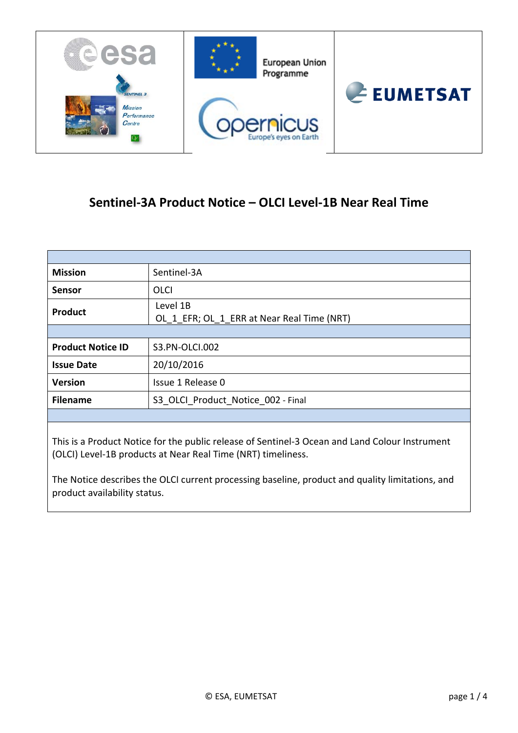

# **Sentinel-3A Product Notice – OLCI Level-1B Near Real Time**

| <b>Mission</b>           | Sentinel-3A                                            |
|--------------------------|--------------------------------------------------------|
| <b>Sensor</b>            | <b>OLCI</b>                                            |
| <b>Product</b>           | Level 1B<br>OL_1_EFR; OL_1_ERR at Near Real Time (NRT) |
|                          |                                                        |
| <b>Product Notice ID</b> | S3.PN-OLCI.002                                         |
| <b>Issue Date</b>        | 20/10/2016                                             |
| <b>Version</b>           | Issue 1 Release 0                                      |
| <b>Filename</b>          | S3 OLCI Product Notice 002 - Final                     |
|                          |                                                        |

This is a Product Notice for the public release of Sentinel-3 Ocean and Land Colour Instrument (OLCI) Level-1B products at Near Real Time (NRT) timeliness.

The Notice describes the OLCI current processing baseline, product and quality limitations, and product availability status.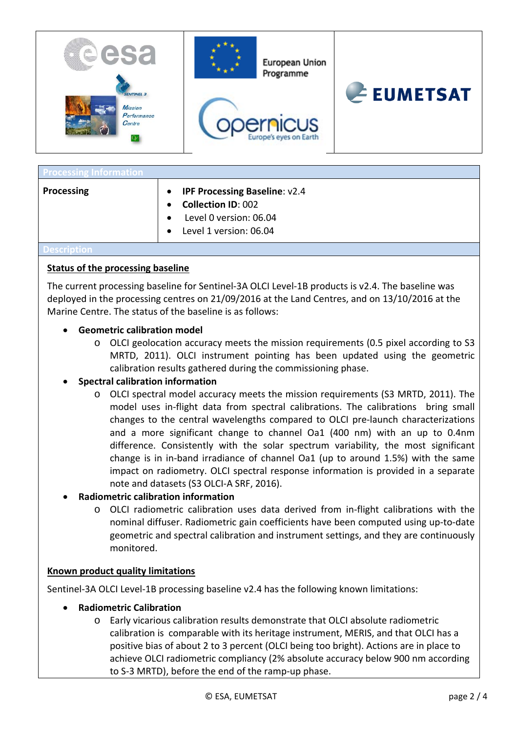

| <b>Processing Information</b> |                                                                                                                                    |
|-------------------------------|------------------------------------------------------------------------------------------------------------------------------------|
| Processing                    | <b>IPF Processing Baseline: v2.4</b><br>$\bullet$<br><b>Collection ID: 002</b><br>Level 0 version: 06.04<br>Level 1 version: 06.04 |
|                               |                                                                                                                                    |

#### **Status of the processing baseline**

The current processing baseline for Sentinel-3A OLCI Level-1B products is v2.4. The baseline was deployed in the processing centres on 21/09/2016 at the Land Centres, and on 13/10/2016 at the Marine Centre. The status of the baseline is as follows:

#### • **Geometric calibration model**

o OLCI geolocation accuracy meets the mission requirements (0.5 pixel according to S3 MRTD, 2011). OLCI instrument pointing has been updated using the geometric calibration results gathered during the commissioning phase.

### • **Spectral calibration information**

o OLCI spectral model accuracy meets the mission requirements (S3 MRTD, 2011). The model uses in-flight data from spectral calibrations. The calibrations bring small changes to the central wavelengths compared to OLCI pre-launch characterizations and a more significant change to channel Oa1 (400 nm) with an up to 0.4nm difference. Consistently with the solar spectrum variability, the most significant change is in in-band irradiance of channel Oa1 (up to around 1.5%) with the same impact on radiometry. OLCI spectral response information is provided in a separate note and datasets (S3 OLCI-A SRF, 2016).

### • **Radiometric calibration information**

o OLCI radiometric calibration uses data derived from in-flight calibrations with the nominal diffuser. Radiometric gain coefficients have been computed using up-to-date geometric and spectral calibration and instrument settings, and they are continuously monitored.

#### **Known product quality limitations**

Sentinel-3A OLCI Level-1B processing baseline v2.4 has the following known limitations:

- **Radiometric Calibration**
	- o Early vicarious calibration results demonstrate that OLCI absolute radiometric calibration is comparable with its heritage instrument, MERIS, and that OLCI has a positive bias of about 2 to 3 percent (OLCI being too bright). Actions are in place to achieve OLCI radiometric compliancy (2% absolute accuracy below 900 nm according to S-3 MRTD), before the end of the ramp-up phase.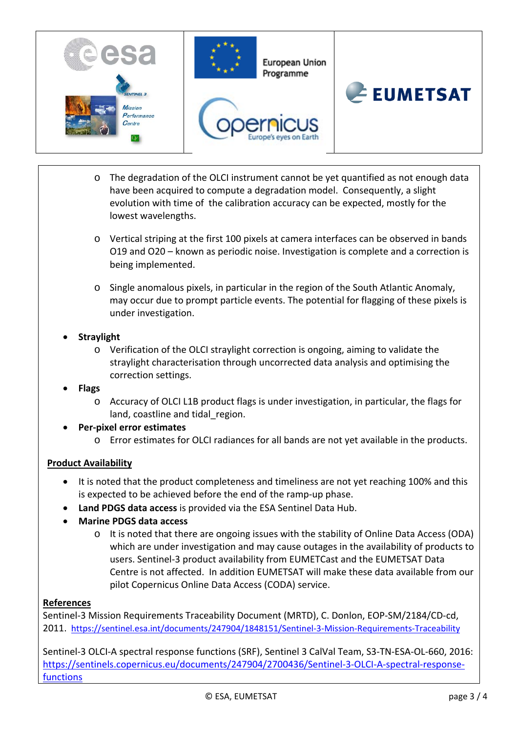

- o The degradation of the OLCI instrument cannot be yet quantified as not enough data have been acquired to compute a degradation model. Consequently, a slight evolution with time of the calibration accuracy can be expected, mostly for the lowest wavelengths.
- o Vertical striping at the first 100 pixels at camera interfaces can be observed in bands O19 and O20 – known as periodic noise. Investigation is complete and a correction is being implemented.
- o Single anomalous pixels, in particular in the region of the South Atlantic Anomaly, may occur due to prompt particle events. The potential for flagging of these pixels is under investigation.
- **Straylight**
	- o Verification of the OLCI straylight correction is ongoing, aiming to validate the straylight characterisation through uncorrected data analysis and optimising the correction settings.
- **Flags**
	- o Accuracy of OLCI L1B product flags is under investigation, in particular, the flags for land, coastline and tidal region.
- **Per-pixel error estimates**
	- o Error estimates for OLCI radiances for all bands are not yet available in the products.

## **Product Availability**

- It is noted that the product completeness and timeliness are not yet reaching 100% and this is expected to be achieved before the end of the ramp-up phase.
- **Land PDGS data access** is provided via the ESA Sentinel Data Hub.
- **Marine PDGS data access** 
	- o It is noted that there are ongoing issues with the stability of Online Data Access (ODA) which are under investigation and may cause outages in the availability of products to users. Sentinel-3 product availability from EUMETCast and the EUMETSAT Data Centre is not affected. In addition EUMETSAT will make these data available from our pilot Copernicus Online Data Access (CODA) service.

### **References**

Sentinel-3 Mission Requirements Traceability Document (MRTD), C. Donlon, EOP-SM/2184/CD-cd, 2011. <https://sentinel.esa.int/documents/247904/1848151/Sentinel-3-Mission-Requirements-Traceability>

Sentinel-3 OLCI-A spectral response functions (SRF), Sentinel 3 CalVal Team, S3-TN-ESA-OL-660, 2016: [https://sentinels.copernicus.eu/documents/247904/2700436/Sentinel-3-OLCI-A-spectral-response](https://sentinels.copernicus.eu/documents/247904/2700436/Sentinel-3-OLCI-A-spectral-response-functions)[functions](https://sentinels.copernicus.eu/documents/247904/2700436/Sentinel-3-OLCI-A-spectral-response-functions)